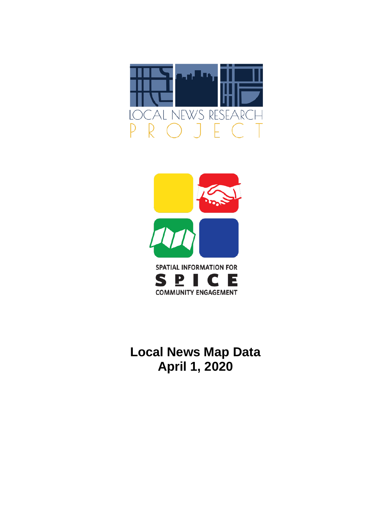



## **Local News Map Data April 1, 2020**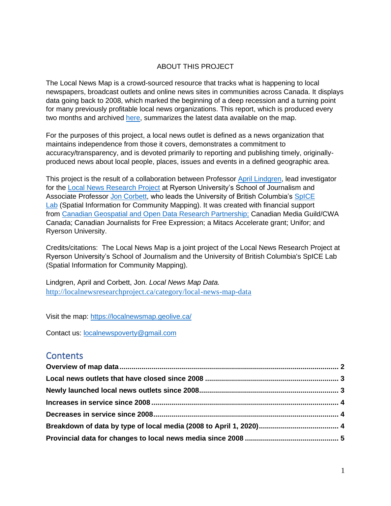### ABOUT THIS PROJECT

The Local News Map is a crowd-sourced resource that tracks what is happening to local newspapers, broadcast outlets and online news sites in communities across Canada. It displays data going back to 2008, which marked the beginning of a deep recession and a turning point for many previously profitable local news organizations. This report, which is produced every two months and archived [here,](http://localnewsresearchproject.ca/category/local-news-map-data) summarizes the latest data available on the map.

For the purposes of this project, a local news outlet is defined as a news organization that maintains independence from those it covers, demonstrates a commitment to accuracy/transparency, and is devoted primarily to reporting and publishing timely, originallyproduced news about local people, places, issues and events in a defined geographic area.

This project is the result of a collaboration between Professor [April Lindgren,](http://rsj.journalism.ryerson.ca/team/april-lindgren/) lead investigator for the [Local News Research Project](http://localnewsresearchproject.ca/) at Ryerson University's School of Journalism and Associate Professor [Jon Corbett,](http://joncorbett.com/JonCorbett/Home.html) who leads the University of British Columbia's [SpICE](http://spice.geolive.ca/) [Lab](http://spice.geolive.ca/) (Spatial Information for Community Mapping). It was created with financial support from [Canadian Geospatial and Open Data Research Partnership;](http://geothink.ca/) Canadian Media Guild/CWA Canada; Canadian Journalists for Free Expression; a Mitacs Accelerate grant; Unifor; and Ryerson University.

Credits/citations: The Local News Map is a joint project of the Local News Research Project at Ryerson University's School of Journalism and the University of British Columbia's SpICE Lab (Spatial Information for Community Mapping).

Lindgren, April and Corbett, Jon. *Local News Map Data.*  <http://localnewsresearchproject.ca/category/local-news-map-data>

Visit the map:<https://localnewsmap.geolive.ca/>

Contact us: [localnewspoverty@gmail.com](mailto:localnewspoverty@gmail.com)

### **Contents**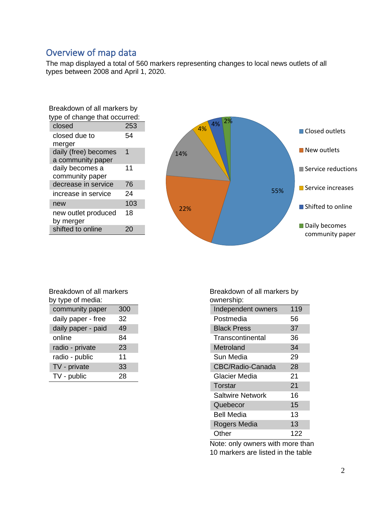## <span id="page-2-0"></span>Overview of map data

The map displayed a total of 560 markers representing changes to local news outlets of all types between 2008 and April 1, 2020.

| Breakdown of all markers by   |     |  |
|-------------------------------|-----|--|
| type of change that occurred: |     |  |
| closed                        | 253 |  |
| closed due to                 | 54  |  |
| merger                        |     |  |
| daily (free) becomes          | 1   |  |
| a community paper             |     |  |
| daily becomes a               | 11  |  |
| community paper               |     |  |
| decrease in service           | 76  |  |
| increase in service           | 24  |  |
| new                           | 103 |  |
| new outlet produced           | 18  |  |
| by merger                     |     |  |
| shifted to online             |     |  |



| Breakdown of all markers |     |  |
|--------------------------|-----|--|
| by type of media:        |     |  |
| community paper          | 300 |  |
| daily paper - free       | 32  |  |
| daily paper - paid       | 49  |  |
| online                   | 84  |  |
| radio - private          | 23  |  |
| radio - public           | 11  |  |
| TV - private             | 33  |  |
| TV - public              | 28  |  |

Breakdown of all markers by ownership:

| uwuunuumu.              |     |
|-------------------------|-----|
| Independent owners      | 119 |
| Postmedia               | 56  |
| <b>Black Press</b>      | 37  |
| Transcontinental        | 36  |
| Metroland               | 34  |
| Sun Media               | 29  |
| <b>CBC/Radio-Canada</b> | 28  |
| Glacier Media           | 21  |
| <b>Torstar</b>          | 21  |
| <b>Saltwire Network</b> | 16  |
| Quebecor                | 15  |
| Bell Media              | 13  |
| Rogers Media            | 13  |
| Other                   | 122 |

Note: only owners with more than 10 markers are listed in the table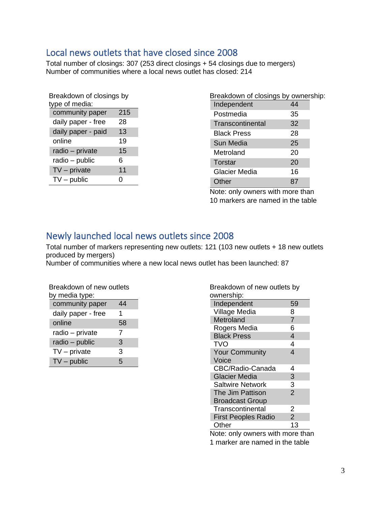## <span id="page-3-0"></span>Local news outlets that have closed since 2008

Total number of closings: 307 (253 direct closings + 54 closings due to mergers) Number of communities where a local news outlet has closed: 214

| Breakdown of closings by<br>type of media: |     |  |  |
|--------------------------------------------|-----|--|--|
| community paper                            | 215 |  |  |
| daily paper - free                         | 28  |  |  |
| daily paper - paid                         | 13  |  |  |
| online                                     | 19  |  |  |
| radio - private                            | 15  |  |  |
| radio - public                             | 6   |  |  |
| $TV$ – private                             | 11  |  |  |
| $TV$ – public                              | 0   |  |  |

| Breakdown of closings by ownership: |    |  |
|-------------------------------------|----|--|
| Independent                         | 44 |  |
| Postmedia                           | 35 |  |
| Transcontinental                    | 32 |  |
| Black Press                         | 28 |  |
| Sun Media                           | 25 |  |
| Metroland                           | 20 |  |
| Torstar                             | 20 |  |
| <b>Glacier Media</b>                | 16 |  |
| Other                               | 87 |  |

Note: only owners with more than 10 markers are named in the table

## <span id="page-3-1"></span>Newly launched local news outlets since 2008

Total number of markers representing new outlets: 121 (103 new outlets + 18 new outlets produced by mergers)

Number of communities where a new local news outlet has been launched: 87

| Breakdown of new outlets<br>by media type: |    |  |  |
|--------------------------------------------|----|--|--|
| community paper                            | 44 |  |  |
| daily paper - free                         | 1  |  |  |
| online                                     | 58 |  |  |
| radio - private                            | 7  |  |  |
| radio - public                             | 3  |  |  |
| $TV$ – private                             | 3  |  |  |
| $TV$ – public                              | 5  |  |  |

| Breakdown of new outlets by<br>ownership:    |  |
|----------------------------------------------|--|
| Independent<br>59                            |  |
| Village Media<br>8                           |  |
| $\overline{7}$<br>Metroland                  |  |
| Rogers Media<br>6                            |  |
| <b>Black Press</b><br>4                      |  |
| TVO<br>4                                     |  |
| 4<br><b>Your Community</b>                   |  |
| Voice                                        |  |
| CBC/Radio-Canada<br>4                        |  |
| 3<br><b>Glacier Media</b>                    |  |
| 3<br><b>Saltwire Network</b>                 |  |
| $\overline{2}$<br>The Jim Pattison           |  |
| <b>Broadcast Group</b>                       |  |
| Transcontinental<br>2                        |  |
| $\overline{2}$<br><b>First Peoples Radio</b> |  |
| Other<br>13                                  |  |

Note: only owners with more than 1 marker are named in the table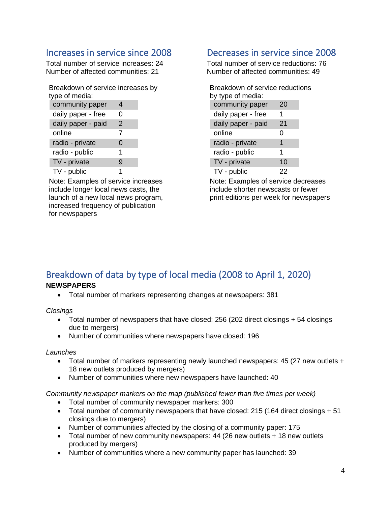## <span id="page-4-0"></span>Increases in service since 2008

Total number of service increases: 24 Number of affected communities: 21

| Breakdown of service increases by |  |
|-----------------------------------|--|
| type of media:                    |  |

| community paper    | 4             |  |
|--------------------|---------------|--|
| daily paper - free | O             |  |
| daily paper - paid | $\mathcal{P}$ |  |
| online             | 7             |  |
| radio - private    | 0             |  |
| radio - public     | 1             |  |
| TV - private       | 9             |  |
| TV - public        | 1             |  |

Note: Examples of service increases include longer local news casts, the launch of a new local news program, increased frequency of publication for newspapers

## <span id="page-4-1"></span>Decreases in service since 2008

Total number of service reductions: 76 Number of affected communities: 49

| Breakdown of service reductions |    |  |  |
|---------------------------------|----|--|--|
| by type of media:               |    |  |  |
| community paper                 | 20 |  |  |
| daily paper - free              | 1  |  |  |
| daily paper - paid              | 21 |  |  |
| online                          | 0  |  |  |
| radio - private                 | 1  |  |  |
| radio - public                  | 1  |  |  |
| TV - private                    | 10 |  |  |
| TV - public                     | 22 |  |  |

Note: Examples of service decreases include shorter newscasts or fewer print editions per week for newspapers

# <span id="page-4-2"></span>Breakdown of data by type of local media (2008 to April 1, 2020)

### **NEWSPAPERS**

• Total number of markers representing changes at newspapers: 381

*Closings*

- Total number of newspapers that have closed: 256 (202 direct closings + 54 closings due to mergers)
- Number of communities where newspapers have closed: 196

### *Launches*

- Total number of markers representing newly launched newspapers: 45 (27 new outlets + 18 new outlets produced by mergers)
- Number of communities where new newspapers have launched: 40

*Community newspaper markers on the map (published fewer than five times per week)* 

- Total number of community newspaper markers: 300
- Total number of community newspapers that have closed: 215 (164 direct closings + 51 closings due to mergers)
- Number of communities affected by the closing of a community paper: 175
- Total number of new community newspapers: 44 (26 new outlets + 18 new outlets produced by mergers)
- Number of communities where a new community paper has launched: 39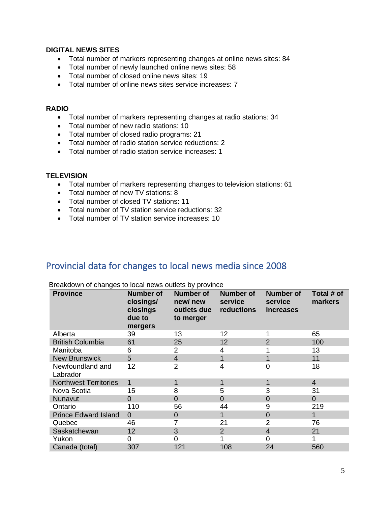### **DIGITAL NEWS SITES**

- Total number of markers representing changes at online news sites: 84
- Total number of newly launched online news sites: 58
- Total number of closed online news sites: 19
- Total number of online news sites service increases: 7

#### **RADIO**

- Total number of markers representing changes at radio stations: 34
- Total number of new radio stations: 10
- Total number of closed radio programs: 21
- Total number of radio station service reductions: 2
- Total number of radio station service increases: 1

### **TELEVISION**

- Total number of markers representing changes to television stations: 61
- Total number of new TV stations: 8
- Total number of closed TV stations: 11
- Total number of TV station service reductions: 32
- Total number of TV station service increases: 10

### <span id="page-5-0"></span>Provincial data for changes to local news media since 2008

| <b>Province</b>              | <b>Number of</b><br>closings/<br>closings<br>due to<br>mergers | <b>Number of</b><br>new/new<br>outlets due<br>to merger | <b>Number of</b><br>service<br>reductions | <b>Number of</b><br>service<br><i>increases</i> | Total # of<br>markers |
|------------------------------|----------------------------------------------------------------|---------------------------------------------------------|-------------------------------------------|-------------------------------------------------|-----------------------|
| Alberta                      | 39                                                             | 13                                                      | 12                                        |                                                 | 65                    |
| <b>British Columbia</b>      | 61                                                             | 25                                                      | 12                                        | $\overline{2}$                                  | 100                   |
| Manitoba                     | 6                                                              | 2                                                       |                                           |                                                 | 13                    |
| <b>New Brunswick</b>         | 5                                                              | $\overline{4}$                                          |                                           | 1                                               | 11                    |
| Newfoundland and<br>Labrador | 12                                                             | $\overline{2}$                                          | 4                                         | 0                                               | 18                    |
| <b>Northwest Territories</b> | $\mathbf{1}$                                                   | 1                                                       |                                           | 1                                               | $\overline{4}$        |
| Nova Scotia                  | 15                                                             | 8                                                       | 5                                         | 3                                               | 31                    |
| Nunavut                      | $\Omega$                                                       | 0                                                       | $\Omega$                                  | $\overline{0}$                                  | $\overline{0}$        |
| Ontario                      | 110                                                            | 56                                                      | 44                                        | 9                                               | 219                   |
| <b>Prince Edward Island</b>  | $\Omega$                                                       | 0                                                       |                                           | $\overline{0}$                                  | 1                     |
| Quebec                       | 46                                                             | 7                                                       | 21                                        | $\overline{2}$                                  | 76                    |
| Saskatchewan                 | 12                                                             | 3                                                       | 2                                         | $\overline{4}$                                  | 21                    |
| Yukon                        | 0                                                              | 0                                                       |                                           | 0                                               |                       |
| Canada (total)               | 307                                                            | 121                                                     | 108                                       | 24                                              | 560                   |

Breakdown of changes to local news outlets by province